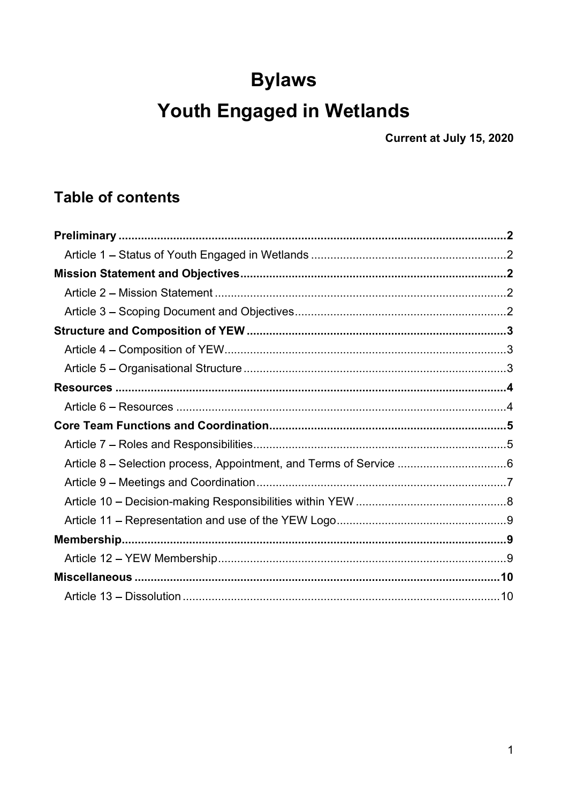# **Bylaws**

# Youth Engaged in Wetlands

Current at July 15, 2020

# **Table of contents**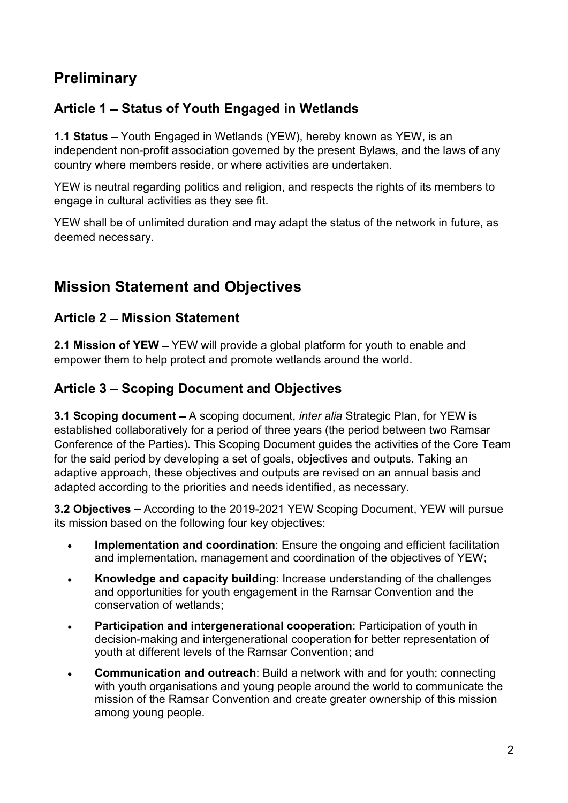### **Preliminary**

### Article 1 – Status of Youth Engaged in Wetlands

1.1 Status – Youth Engaged in Wetlands (YEW), hereby known as YEW, is an independent non-profit association governed by the present Bylaws, and the laws of any country where members reside, or where activities are undertaken.

YEW is neutral regarding politics and religion, and respects the rights of its members to engage in cultural activities as they see fit.

YEW shall be of unlimited duration and may adapt the status of the network in future, as deemed necessary.

### Mission Statement and Objectives

#### Article 2 - Mission Statement

2.1 Mission of YEW - YEW will provide a global platform for youth to enable and empower them to help protect and promote wetlands around the world.

#### Article 3 - Scoping Document and Objectives

3.1 Scoping document  $-$  A scoping document, *inter alia* Strategic Plan, for YEW is established collaboratively for a period of three years (the period between two Ramsar Conference of the Parties). This Scoping Document guides the activities of the Core Team for the said period by developing a set of goals, objectives and outputs. Taking an adaptive approach, these objectives and outputs are revised on an annual basis and adapted according to the priorities and needs identified, as necessary.

3.2 Objectives - According to the 2019-2021 YEW Scoping Document, YEW will pursue its mission based on the following four key objectives:

- Implementation and coordination: Ensure the ongoing and efficient facilitation and implementation, management and coordination of the objectives of YEW;
- Knowledge and capacity building: Increase understanding of the challenges  $\bullet$ and opportunities for youth engagement in the Ramsar Convention and the conservation of wetlands;
- Participation and intergenerational cooperation: Participation of youth in  $\bullet$ decision-making and intergenerational cooperation for better representation of youth at different levels of the Ramsar Convention; and
- Communication and outreach: Build a network with and for youth; connecting with youth organisations and young people around the world to communicate the mission of the Ramsar Convention and create greater ownership of this mission among young people.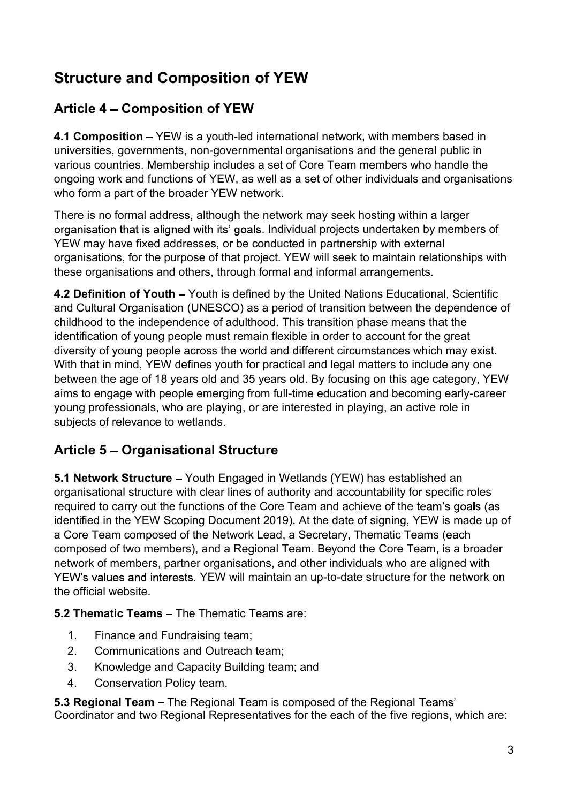## Structure and Composition of YEW

### Article 4 Composition of YEW

4.1 Composition – YEW is a youth-led international network, with members based in universities, governments, non-governmental organisations and the general public in various countries. Membership includes a set of Core Team members who handle the ongoing work and functions of YEW, as well as a set of other individuals and organisations who form a part of the broader YEW network.

There is no formal address, although the network may seek hosting within a larger organisation that is aligned with its' goals. Individual projects undertaken by members of YEW may have fixed addresses, or be conducted in partnership with external organisations, for the purpose of that project. YEW will seek to maintain relationships with these organisations and others, through formal and informal arrangements.

4.2 Definition of Youth – Youth is defined by the United Nations Educational, Scientific and Cultural Organisation (UNESCO) as a period of transition between the dependence of childhood to the independence of adulthood. This transition phase means that the identification of young people must remain flexible in order to account for the great diversity of young people across the world and different circumstances which may exist. With that in mind, YEW defines youth for practical and legal matters to include any one between the age of 18 years old and 35 years old. By focusing on this age category, YEW aims to engage with people emerging from full-time education and becoming early-career young professionals, who are playing, or are interested in playing, an active role in subjects of relevance to wetlands.

### Article 5 – Organisational Structure

5.1 Network Structure - Youth Engaged in Wetlands (YEW) has established an organisational structure with clear lines of authority and accountability for specific roles required to carry out the functions of the Core Team and achieve of the team's goals (as identified in the YEW Scoping Document 2019). At the date of signing, YEW is made up of a Core Team composed of the Network Lead, a Secretary, Thematic Teams (each composed of two members), and a Regional Team. Beyond the Core Team, is a broader network of members, partner organisations, and other individuals who are aligned with YEW's values and interests. YEW will maintain an up-to-date structure for the network on the official website.

5.2 Thematic Teams  $-$  The Thematic Teams are:

- 1. Finance and Fundraising team;
- 2. Communications and Outreach team;
- 3. Knowledge and Capacity Building team; and
- 4. Conservation Policy team.

5.3 Regional Team - The Regional Team is composed of the Regional Teams' Coordinator and two Regional Representatives for the each of the five regions, which are: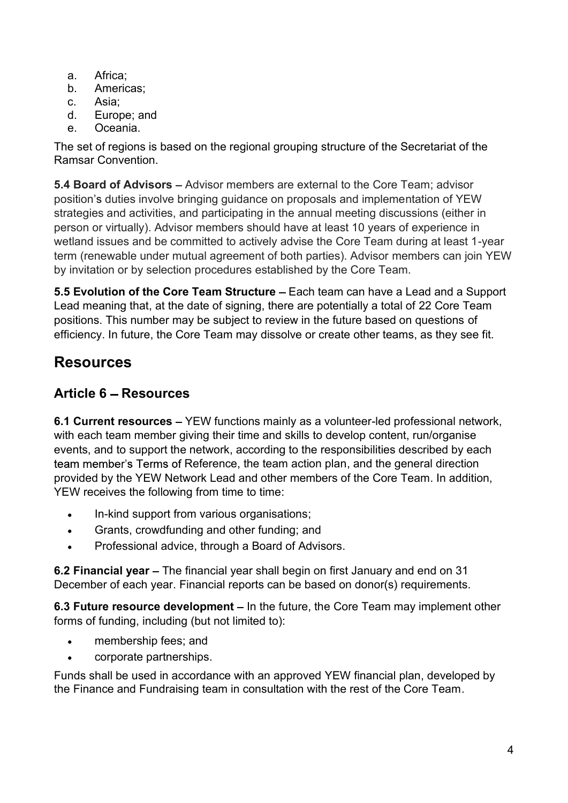- a. Africa;
- b. Americas;
- c. Asia;
- d. Europe; and
- e. Oceania.

The set of regions is based on the regional grouping structure of the Secretariat of the Ramsar Convention.

5.4 Board of Advisors – Advisor members are external to the Core Team; advisor position's duties involve bringing guidance on proposals and implementation of YEW strategies and activities, and participating in the annual meeting discussions (either in person or virtually). Advisor members should have at least 10 years of experience in wetland issues and be committed to actively advise the Core Team during at least 1-year term (renewable under mutual agreement of both parties). Advisor members can join YEW by invitation or by selection procedures established by the Core Team.

5.5 Evolution of the Core Team Structure - Each team can have a Lead and a Support Lead meaning that, at the date of signing, there are potentially a total of 22 Core Team positions. This number may be subject to review in the future based on questions of efficiency. In future, the Core Team may dissolve or create other teams, as they see fit.

## Resources

### Article 6 - Resources

6.1 Current resources – YEW functions mainly as a volunteer-led professional network, with each team member giving their time and skills to develop content, run/organise events, and to support the network, according to the responsibilities described by each team member's Terms of Reference, the team action plan, and the general direction provided by the YEW Network Lead and other members of the Core Team. In addition, YEW receives the following from time to time:

- In-kind support from various organisations;  $\bullet$
- Grants, crowdfunding and other funding; and  $\bullet$
- Professional advice, through a Board of Advisors.

6.2 Financial year – The financial year shall begin on first January and end on 31 December of each year. Financial reports can be based on donor(s) requirements.

6.3 Future resource development  $-$  In the future, the Core Team may implement other forms of funding, including (but not limited to):

- membership fees; and  $\bullet$
- corporate partnerships.

Funds shall be used in accordance with an approved YEW financial plan, developed by the Finance and Fundraising team in consultation with the rest of the Core Team.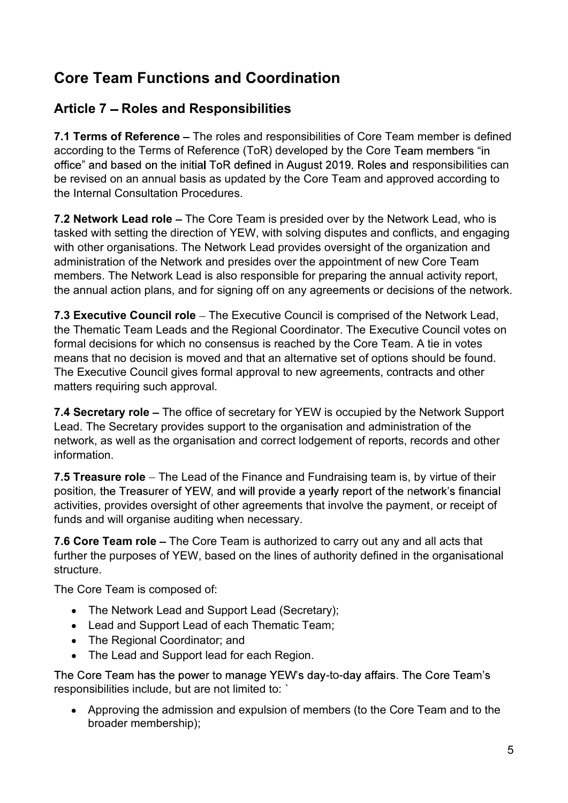### Core Team Functions and Coordination

### Article 7 – Roles and Responsibilities

7.1 Terms of Reference – The roles and responsibilities of Core Team member is defined according to the Terms of Reference (ToR) developed by the Core Team members "in office" and based on the initial ToR defined in August 2019. Roles and responsibilities can be revised on an annual basis as updated by the Core Team and approved according to the Internal Consultation Procedures.

7.2 Network Lead role – The Core Team is presided over by the Network Lead, who is tasked with setting the direction of YEW, with solving disputes and conflicts, and engaging with other organisations. The Network Lead provides oversight of the organization and administration of the Network and presides over the appointment of new Core Team members. The Network Lead is also responsible for preparing the annual activity report, the annual action plans, and for signing off on any agreements or decisions of the network.

7.3 Executive Council role – The Executive Council is comprised of the Network Lead, the Thematic Team Leads and the Regional Coordinator. The Executive Council votes on formal decisions for which no consensus is reached by the Core Team. A tie in votes means that no decision is moved and that an alternative set of options should be found. The Executive Council gives formal approval to new agreements, contracts and other matters requiring such approval.

7.4 Secretary role – The office of secretary for YEW is occupied by the Network Support Lead. The Secretary provides support to the organisation and administration of the network, as well as the organisation and correct lodgement of reports, records and other information.

7.5 Treasure role – The Lead of the Finance and Fundraising team is, by virtue of their position, the Treasurer of YEW, and will provide a yearly report of the network's financial activities, provides oversight of other agreements that involve the payment, or receipt of funds and will organise auditing when necessary.

7.6 Core Team role – The Core Team is authorized to carry out any and all acts that further the purposes of YEW, based on the lines of authority defined in the organisational structure.

The Core Team is composed of:

- The Network Lead and Support Lead (Secretary);
- Lead and Support Lead of each Thematic Team;
- The Regional Coordinator; and
- The Lead and Support lead for each Region.

The Core Team has the power to manage YEW's day-to-day affairs. The Core Team's responsibilities include, but are not limited to: `

 Approving the admission and expulsion of members (to the Core Team and to the broader membership);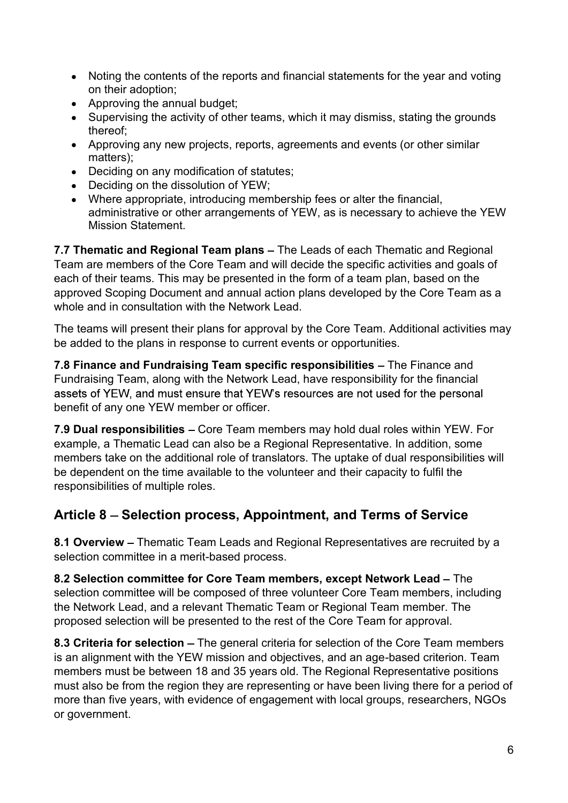- Noting the contents of the reports and financial statements for the year and voting on their adoption;
- Approving the annual budget;
- Supervising the activity of other teams, which it may dismiss, stating the grounds thereof;
- Approving any new projects, reports, agreements and events (or other similar matters);
- Deciding on any modification of statutes;
- Deciding on the dissolution of YEW;
- Where appropriate, introducing membership fees or alter the financial, administrative or other arrangements of YEW, as is necessary to achieve the YEW Mission Statement.

7.7 Thematic and Regional Team plans – The Leads of each Thematic and Regional Team are members of the Core Team and will decide the specific activities and goals of each of their teams. This may be presented in the form of a team plan, based on the approved Scoping Document and annual action plans developed by the Core Team as a whole and in consultation with the Network Lead.

The teams will present their plans for approval by the Core Team. Additional activities may be added to the plans in response to current events or opportunities.

7.8 Finance and Fundraising Team specific responsibilities - The Finance and Fundraising Team, along with the Network Lead, have responsibility for the financial assets of YEW, and must ensure that YEW's resources are not used for the personal benefit of any one YEW member or officer.

7.9 Dual responsibilities – Core Team members may hold dual roles within YEW. For example, a Thematic Lead can also be a Regional Representative. In addition, some members take on the additional role of translators. The uptake of dual responsibilities will be dependent on the time available to the volunteer and their capacity to fulfil the responsibilities of multiple roles.

#### Article 8 – Selection process, Appointment, and Terms of Service

8.1 Overview - Thematic Team Leads and Regional Representatives are recruited by a selection committee in a merit-based process.

8.2 Selection committee for Core Team members, except Network Lead - The selection committee will be composed of three volunteer Core Team members, including the Network Lead, and a relevant Thematic Team or Regional Team member. The proposed selection will be presented to the rest of the Core Team for approval.

8.3 Criteria for selection – The general criteria for selection of the Core Team members is an alignment with the YEW mission and objectives, and an age-based criterion. Team members must be between 18 and 35 years old. The Regional Representative positions must also be from the region they are representing or have been living there for a period of more than five years, with evidence of engagement with local groups, researchers, NGOs or government.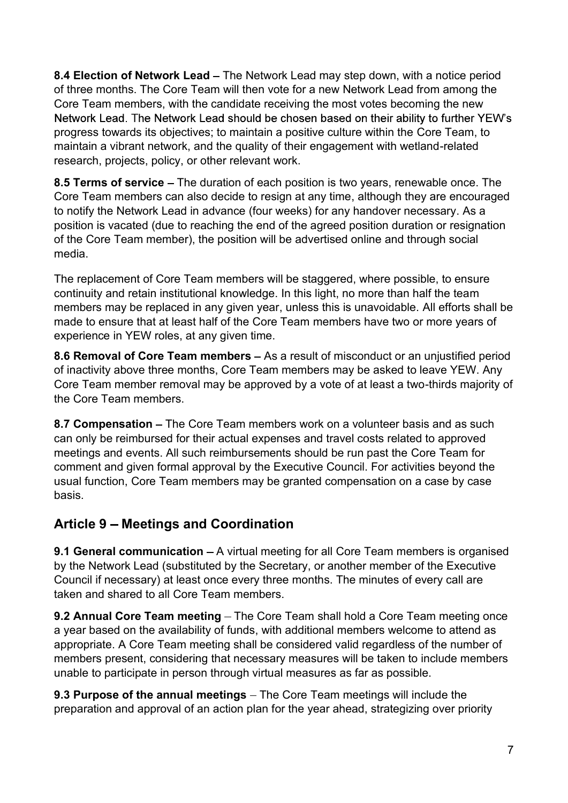8.4 Election of Network Lead – The Network Lead may step down, with a notice period of three months. The Core Team will then vote for a new Network Lead from among the Core Team members, with the candidate receiving the most votes becoming the new Network Lead. The Network Lead should be chosen based on their ability to further YEW's progress towards its objectives; to maintain a positive culture within the Core Team, to maintain a vibrant network, and the quality of their engagement with wetland-related research, projects, policy, or other relevant work.

8.5 Terms of service – The duration of each position is two years, renewable once. The Core Team members can also decide to resign at any time, although they are encouraged to notify the Network Lead in advance (four weeks) for any handover necessary. As a position is vacated (due to reaching the end of the agreed position duration or resignation of the Core Team member), the position will be advertised online and through social media.

The replacement of Core Team members will be staggered, where possible, to ensure continuity and retain institutional knowledge. In this light, no more than half the team members may be replaced in any given year, unless this is unavoidable. All efforts shall be made to ensure that at least half of the Core Team members have two or more years of experience in YEW roles, at any given time.

8.6 Removal of Core Team members – As a result of misconduct or an unjustified period of inactivity above three months, Core Team members may be asked to leave YEW. Any Core Team member removal may be approved by a vote of at least a two-thirds majority of the Core Team members.

8.7 Compensation – The Core Team members work on a volunteer basis and as such can only be reimbursed for their actual expenses and travel costs related to approved meetings and events. All such reimbursements should be run past the Core Team for comment and given formal approval by the Executive Council. For activities beyond the usual function, Core Team members may be granted compensation on a case by case basis.

#### Article 9 - Meetings and Coordination

**9.1 General communication**  $-A$  virtual meeting for all Core Team members is organised by the Network Lead (substituted by the Secretary, or another member of the Executive Council if necessary) at least once every three months. The minutes of every call are taken and shared to all Core Team members.

9.2 Annual Core Team meeting – The Core Team shall hold a Core Team meeting once a year based on the availability of funds, with additional members welcome to attend as appropriate. A Core Team meeting shall be considered valid regardless of the number of members present, considering that necessary measures will be taken to include members unable to participate in person through virtual measures as far as possible.

9.3 Purpose of the annual meetings – The Core Team meetings will include the preparation and approval of an action plan for the year ahead, strategizing over priority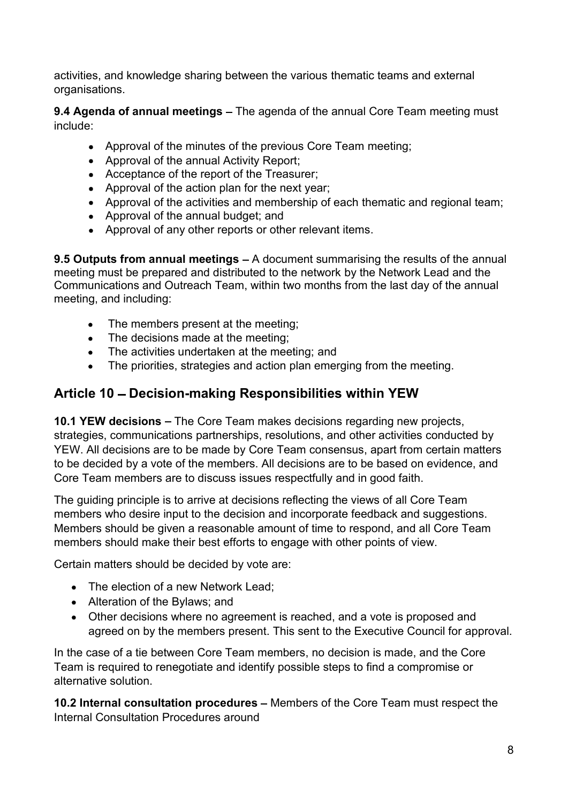activities, and knowledge sharing between the various thematic teams and external organisations.

9.4 Agenda of annual meetings - The agenda of the annual Core Team meeting must include:

- Approval of the minutes of the previous Core Team meeting;
- Approval of the annual Activity Report;
- Acceptance of the report of the Treasurer;
- Approval of the action plan for the next year;
- Approval of the activities and membership of each thematic and regional team;
- Approval of the annual budget: and
- Approval of any other reports or other relevant items.

**9.5 Outputs from annual meetings**  $-$  A document summarising the results of the annual meeting must be prepared and distributed to the network by the Network Lead and the Communications and Outreach Team, within two months from the last day of the annual meeting, and including:

- The members present at the meeting;
- The decisions made at the meeting:
- The activities undertaken at the meeting; and
- The priorities, strategies and action plan emerging from the meeting.

#### Article 10 - Decision-making Responsibilities within YEW

10.1 YEW decisions – The Core Team makes decisions regarding new projects, strategies, communications partnerships, resolutions, and other activities conducted by YEW. All decisions are to be made by Core Team consensus, apart from certain matters to be decided by a vote of the members. All decisions are to be based on evidence, and Core Team members are to discuss issues respectfully and in good faith.

The guiding principle is to arrive at decisions reflecting the views of all Core Team members who desire input to the decision and incorporate feedback and suggestions. Members should be given a reasonable amount of time to respond, and all Core Team members should make their best efforts to engage with other points of view.

Certain matters should be decided by vote are:

- The election of a new Network Lead;
- Alteration of the Bylaws; and
- Other decisions where no agreement is reached, and a vote is proposed and agreed on by the members present. This sent to the Executive Council for approval.

In the case of a tie between Core Team members, no decision is made, and the Core Team is required to renegotiate and identify possible steps to find a compromise or alternative solution.

10.2 Internal consultation procedures – Members of the Core Team must respect the Internal Consultation Procedures around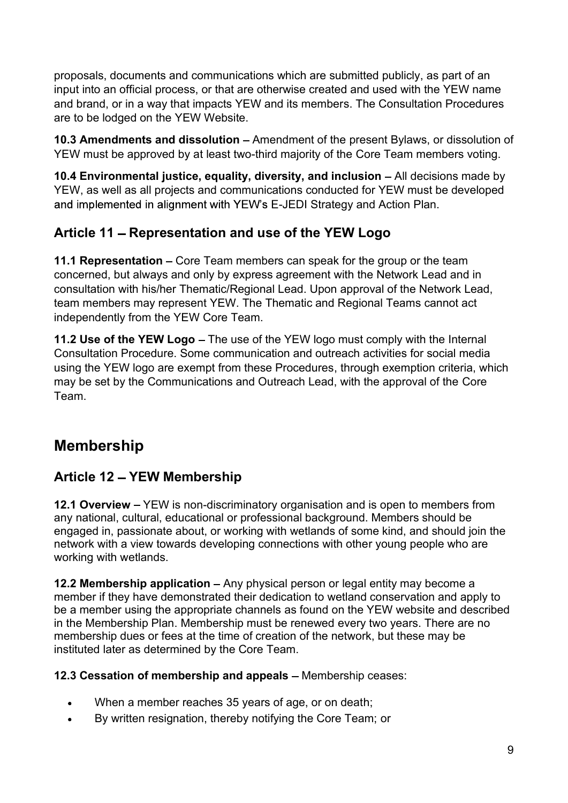proposals, documents and communications which are submitted publicly, as part of an input into an official process, or that are otherwise created and used with the YEW name and brand, or in a way that impacts YEW and its members. The Consultation Procedures are to be lodged on the YEW Website.

10.3 Amendments and dissolution – Amendment of the present Bylaws, or dissolution of YEW must be approved by at least two-third majority of the Core Team members voting.

10.4 Environmental justice, equality, diversity, and inclusion  $-$  All decisions made by YEW, as well as all projects and communications conducted for YEW must be developed and implemented in alignment with YEW's E-JEDI Strategy and Action Plan.

### Article 11 - Representation and use of the YEW Logo

11.1 Representation  $-$  Core Team members can speak for the group or the team concerned, but always and only by express agreement with the Network Lead and in consultation with his/her Thematic/Regional Lead. Upon approval of the Network Lead, team members may represent YEW. The Thematic and Regional Teams cannot act independently from the YEW Core Team.

11.2 Use of the YEW Logo – The use of the YEW logo must comply with the Internal Consultation Procedure. Some communication and outreach activities for social media using the YEW logo are exempt from these Procedures, through exemption criteria, which may be set by the Communications and Outreach Lead, with the approval of the Core Team.

# Membership

### Article 12 - YEW Membership

12.1 Overview – YEW is non-discriminatory organisation and is open to members from any national, cultural, educational or professional background. Members should be engaged in, passionate about, or working with wetlands of some kind, and should join the network with a view towards developing connections with other young people who are working with wetlands.

12.2 Membership application  $-$  Any physical person or legal entity may become a member if they have demonstrated their dedication to wetland conservation and apply to be a member using the appropriate channels as found on the YEW website and described in the Membership Plan. Membership must be renewed every two years. There are no membership dues or fees at the time of creation of the network, but these may be instituted later as determined by the Core Team.

#### 12.3 Cessation of membership and appeals  $-$  Membership ceases:

- When a member reaches 35 years of age, or on death;
- By written resignation, thereby notifying the Core Team; or